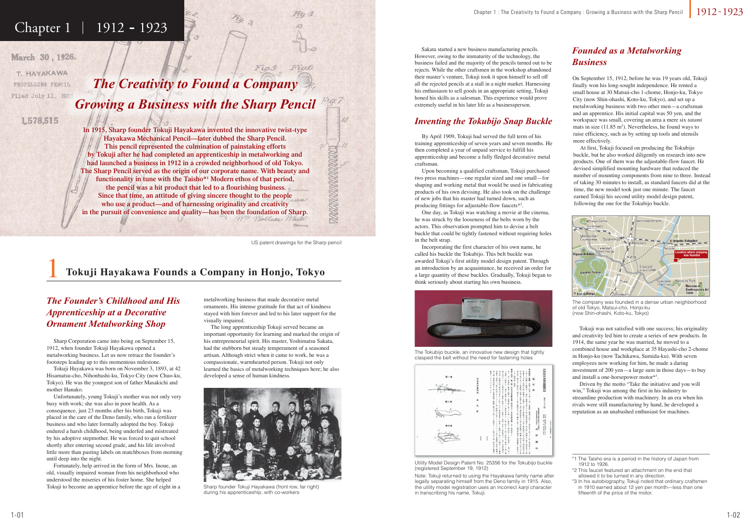# Chapter 1 | 1912 - 1923

March 30, 1926.

T. HAYAKAWA PROPELLING PENCIL Filed July 11, 1923

1,578,515

1

metalworking business that made decorative metal ornaments. His intense gratitude for that act of kindness stayed with him forever and led to his later support for the visually impaired.

 The long apprenticeship Tokuji served became an important opportunity for learning and marked the origin of his entrepreneurial spirit. His master, Yoshimatsu Sakata, had the stubborn but steady temperament of a seasoned artisan. Although strict when it came to work, he was a compassionate, warmhearted person. Tokuji not only learned the basics of metalworking techniques here; he also developed a sense of human kindness.

 Sharp Corporation came into being on September 15, 1912, when founder Tokuji Hayakawa opened a metalworking business. Let us now retrace the founder's footsteps leading up to this momentous milestone.

 Tokuji Hayakawa was born on November 3, 1893, at 42 Hisamatsu-cho, Nihonbashi-ku, Tokyo City (now Chuo-ku, Tokyo). He was the youngest son of father Masakichi and mother Hanako.



The company was founded in a dense urban neighborhood of old Tokyo, Matsui-cho, Honjo-ku (now Shin-ohashi, Koto-ku, Tokyo)

 Unfortunately, young Tokuji's mother was not only very busy with work; she was also in poor health. As a consequence, just 23 months after his birth, Tokuji was placed in the care of the Deno family, who ran a fertilizer business and who later formally adopted the boy. Tokuji endured a harsh childhood, being underfed and mistreated by his adoptive stepmother. He was forced to quit school shortly after entering second grade, and his life involved little more than pasting labels on matchboxes from morning until deep into the night.

 Fortunately, help arrived in the form of Mrs. Inoue, an old, visually impaired woman from his neighborhood who understood the miseries of his foster home. She helped Tokuji to become an apprentice before the age of eight in a

 Sakata started a new business manufacturing pencils. However, owing to the immaturity of the technology, the business failed and the majority of the pencils turned out to be rejects. While the other craftsmen in the workshop abandoned their master's venture, Tokuji took it upon himself to sell off all the rejected pencils at a stall in a night market. Harnessing his enthusiasm to sell goods in an appropriate setting, Tokuji honed his skills as a salesman. This experience would prove extremely useful in his later life as a businessperson.

# **Tokuji Hayakawa Founds a Company in Honjo, Tokyo**



Sharp founder Tokuji Hayakawa (front row, far right) during his apprenticeship, with co-workers



Utility Model Design Patent No. 25356 for the Tokubijo buckle (registered September 19, 1912)

*The Creativity to Found a Company Growing a Business with the Sharp Pencil*

In 1915, Sharp founder Tokuji Hayakawa invented the innovative twist-type Hayakawa Mechanical Pencil—later dubbed the Sharp Pencil. **This pencil represented the culmination of painstaking efforts by Tokuji after he had completed an apprenticeship in metalworking and had launched a business in 1912 in a crowded neighborhood of old Tokyo. The Sharp Pencil served as the origin of our corporate name. With beauty and functionality in tune with the Taisho\*1 Modern ethos of that period, the pencil was a hit product that led to a flourishing business.** Since that time, an attitude of giving sincere thought to the people **who use a product—and of harnessing originality and creativity in the pursuit of convenience and quality—has been the foundation of Sharp.** Wm Wallace Whi

# *The Founder's Childhood and His Apprenticeship at a Decorative Ornament Metalworking Shop*

 By April 1909, Tokuji had served the full term of his training apprenticeship of seven years and seven months. He then completed a year of unpaid service to fulfill his apprenticeship and become a fully fledged decorative metal craftsman.

 Upon becoming a qualified craftsman, Tokuji purchased two press machines—one regular sized and one small—for shaping and working metal that would be used in fabricating products of his own devising. He also took on the challenge of new jobs that his master had turned down, such as producing fittings for adjustable-flow faucets\*2.

 One day, as Tokuji was watching a movie at the cinema, he was struck by the looseness of the belts worn by the actors. This observation prompted him to devise a belt buckle that could be tightly fastened without requiring holes in the belt strap.

 Incorporating the first character of his own name, he called his buckle the Tokubijo. This belt buckle was awarded Tokuji's first utility model design patent. Through an introduction by an acquaintance, he received an order for a large quantity of these buckles. Gradually, Tokuji began to think seriously about starting his own business.

# *Inventing the Tokubijo Snap Buckle*

On September 15, 1912, before he was 19 years old, Tokuji finally won his long-sought independence. He rented a small house at 30 Matsui-cho 1-chome, Honjo-ku, Tokyo City (now Shin-ohashi, Koto-ku, Tokyo), and set up a metalworking business with two other men—a craftsman and an apprentice. His initial capital was 50 yen, and the workspace was small, covering an area a mere six *tatami* mats in size  $(11.85 \text{ m}^2)$ . Nevertheless, he found ways to raise efficiency, such as by setting up tools and utensils more effectively.

 At first, Tokuji focused on producing the Tokubijo buckle, but he also worked diligently on research into new products. One of them was the adjustable-flow faucet. He devised simplified mounting hardware that reduced the number of mounting components from nine to three. Instead of taking 30 minutes to install, as standard faucets did at the time, the new model took just one minute. The faucet earned Tokuji his second utility model design patent, following the one for the Tokubijo buckle.

 Tokuji was not satisfied with one success; his originality and creativity led him to create a series of new products. In 1914, the same year he was married, he moved to a combined house and workplace at 35 Hayashi-cho 2-chome in Honjo-ku (now Tachikawa, Sumida-ku). With seven employees now working for him, he made a daring investment of 200 yen—a large sum in those days—to buy and install a one-horsepower motor\*3.

 Driven by the motto "Take the initiative and you will win," Tokuji was among the first in his industry to streamline production with machinery. In an era when his rivals were still manufacturing by hand, he developed a reputation as an unabashed enthusiast for machines.

# *Founded as a Metalworking Business*

Note: Tokuji returned to using the Hayakawa family name after legally separating himself from the Deno family in 1915. Also, the utility model registration uses an incorrect kanji character in transcribing his name, Tokuji.



The Tokubijo buckle, an innovative new design that tightly clasped the belt without the need for fastening holes

US patent drawings for the Sharp pencil

**MANARA KANARAN** 

 $Fio.6$ 

 $FiO.5$ 

<sup>\*1</sup> The Taisho era is a period in the history of Japan from 1912 to 1926.

<sup>\*2</sup> This faucet featured an attachment on the end that allowed it to be turned in any direction.

<sup>\*3</sup> In his autobiography, Tokuji noted that ordinary craftsmen in 1910 earned about 12 yen per month—less than one fifteenth of the price of the motor.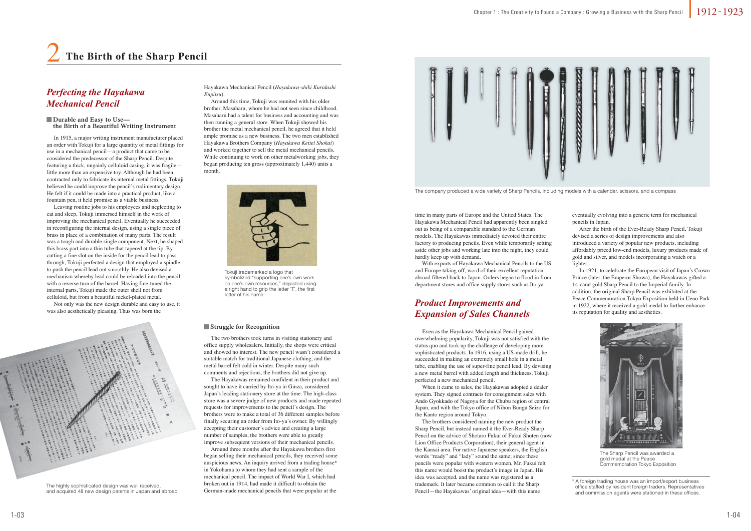In 1915, a major writing instrument manufacturer placed an order with Tokuji for a large quantity of metal fittings for use in a mechanical pencil—a product that came to be considered the predecessor of the Sharp Pencil. Despite featuring a thick, ungainly celluloid casing, it was fragile little more than an expensive toy. Although he had been contracted only to fabricate its internal metal fittings, Tokuji believed he could improve the pencil's rudimentary design. He felt if it could be made into a practical product, like a fountain pen, it held promise as a viable business.

 Leaving routine jobs to his employees and neglecting to eat and sleep, Tokuji immersed himself in the work of improving the mechanical pencil. Eventually he succeeded in reconfiguring the internal design, using a single piece of brass in place of a combination of many parts. The result was a tough and durable single component. Next, he shaped this brass part into a thin tube that tapered at the tip. By cutting a fine slot on the inside for the pencil lead to pass through, Tokuji perfected a design that employed a spindle to push the pencil lead out smoothly. He also devised a mechanism whereby lead could be reloaded into the pencil with a reverse turn of the barrel. Having fine-tuned the internal parts, Tokuji made the outer shell not from celluloid, but from a beautiful nickel-plated metal.

 Not only was the new design durable and easy to use, it was also aesthetically pleasing. Thus was born the



Hayakawa Mechanical Pencil (*Hayakawa-shiki Kuridashi Enpitsu*).

> After the birth of the Ever-Ready Sharp Pencil, Tokuji devised a series of design improvements and also introduced a variety of popular new products, including affordably priced low-end models, luxury products made of gold and silver, and models incorporating a watch or a lighter

 Around this time, Tokuji was reunited with his older brother, Masaharu, whom he had not seen since childhood. Masaharu had a talent for business and accounting and was then running a general store. When Tokuji showed his brother the metal mechanical pencil, he agreed that it held ample promise as a new business. The two men established Hayakawa Brothers Company (*Hayakawa Keitei Shokai*) and worked together to sell the metal mechanical pencils. While continuing to work on other metalworking jobs, they began producing ten gross (approximately 1,440) units a month.

### *Perfecting the Hayakawa Mechanical Pencil*

 Even as the Hayakawa Mechanical Pencil gained overwhelming popularity, Tokuji was not satisfied with the status quo and took up the challenge of developing more sophisticated products. In 1916, using a US-made drill, he succeeded in making an extremely small hole in a metal tube, enabling the use of super-fine pencil lead. By devising a new metal barrel with added length and thickness, Tokuji perfected a new mechanical pencil.

 When it came to sales, the Hayakawas adopted a dealer system. They signed contracts for consignment sales with Ando Gyokkado of Nagoya for the Chubu region of central Japan, and with the Tokyo office of Nihon Bungu Seizo for the Kanto region around Tokyo.

 The brothers considered naming the new product the Sharp Pencil, but instead named it the Ever-Ready Sharp Pencil on the advice of Shotaro Fukui of Fukui Shoten (now Lion Office Products Corporation), their general agent in the Kansai area. For native Japanese speakers, the English words "ready" and "lady" sound the same; since these pencils were popular with western women, Mr. Fukui felt this name would boost the product's image in Japan. His idea was accepted, and the name was registered as a trademark. It later became common to call it the Sharp Pencil—the Hayakawas' original idea—with this name

eventually evolving into a generic term for mechanical pencils in Japan.

 In 1921, to celebrate the European visit of Japan's Crown Prince (later, the Emperor Showa), the Hayakawas gifted a 14-carat gold Sharp Pencil to the Imperial family. In addition, the original Sharp Pencil was exhibited at the Peace Commemoration Tokyo Exposition held in Ueno Park in 1922, where it received a gold medal to further enhance its reputation for quality and aesthetics.

# *Product Improvements and Expansion of Sales Channels*



Tokuji trademarked a logo that symbolized "supporting one's own work on one's own resources," depicted using a right hand to grip the letter 'T', the first letter of his name



The Sharp Pencil was awarded a gold medal at the Peace Commemoration Tokyo Exposition

The highly sophisticated design was well received, and acquired 48 new design patents in Japan and abroad

 The two brothers took turns in visiting stationery and office supply wholesalers. Initially, the shops were critical and showed no interest. The new pencil wasn't considered a suitable match for traditional Japanese clothing, and the metal barrel felt cold in winter. Despite many such comments and rejections, the brothers did not give up.

 The Hayakawas remained confident in their product and sought to have it carried by Ito-ya in Ginza, considered Japan's leading stationery store at the time. The high-class store was a severe judge of new products and made repeated requests for improvements to the pencil's design. The brothers were to make a total of 36 different samples before finally securing an order from Ito-ya's owner. By willingly accepting their customer's advice and creating a large number of samples, the brothers were able to greatly improve subsequent versions of their mechanical pencils.

 Around three months after the Hayakawa brothers first began selling their mechanical pencils, they received some auspicious news. An inquiry arrived from a trading house\* in Yokohama to whom they had sent a sample of the mechanical pencil. The impact of World War I, which had broken out in 1914, had made it difficult to obtain the German-made mechanical pencils that were popular at the

time in many parts of Europe and the United States. The Hayakawa Mechanical Pencil had apparently been singled out as being of a comparable standard to the German models. The Hayakawas immediately devoted their entire factory to producing pencils. Even while temporarily setting aside other jobs and working late into the night, they could hardly keep up with demand.

 With exports of Hayakawa Mechanical Pencils to the US and Europe taking off, word of their excellent reputation abroad filtered back to Japan. Orders began to flood in from department stores and office supply stores such as Ito-ya.



The company produced a wide variety of Sharp Pencils, including models with a calendar, scissors, and a compass

\* A foreign trading house was an import/export business office staffed by resident foreign traders. Representatives and commission agents were stationed in these offices.

#### **Durable and Easy to Use the Birth of a Beautiful Writing Instrument**

#### **Struggle for Recognition**